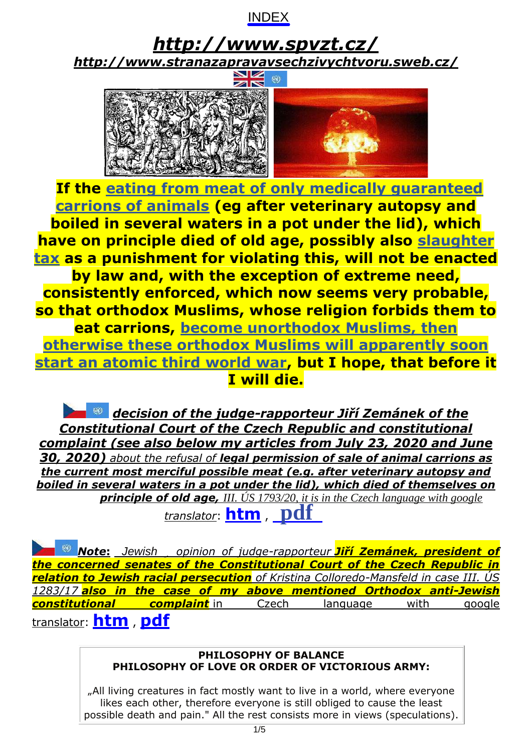

<span id="page-0-0"></span>*<http://www.spvzt.cz/> <http://www.stranazapravavsechzivychtvoru.sweb.cz/>*



**If the [eating from meat of only medically guaranteed](http://www.spvzt.cz/Petitionshops.html) carrions of animals [\(eg after veterinary autopsy and](http://www.spvzt.cz/Petitionshops.html)  boiled in several waters in a pot under the lid), which have on principle died of old age, possibly also [slaughter](http://www.spvzt.cz/Petitionslaughtertax.html) [tax](http://www.spvzt.cz/Petitionslaughtertax.html) as a punishment for violating this, will not be enacted by law and, with the exception of extreme need, consistently enforced, which now seems very probable, so that orthodox Muslims, whose religion forbids them to eat carrions, become unorthodox Muslims, then [otherwise these orthodox Muslims will apparently soon](http://www.spvzt.cz/indexarticles/2020-11-03.html) start an atomic third world war, but I hope, that before it I will die.**

*decision of the judge-rapporteur Jiří Zemánek of the Constitutional Court of the Czech Republic and constitutional complaint (see also below my articles from July 23, 2020 and June 30, 2020) about the refusal of legal permission of sale of animal carrions as the current most merciful possible meat (e.g. after veterinary autopsy and boiled in several waters in a pot under the lid), which died of themselves on principle of old age, III. ÚS 1793/20, it is in the Czech language with google translator*: **[htm](http://www.spvzt.cz/UstStizn-ConstCompl-ENG.htm)** , **[pdf](http://www.spvzt.cz/UstStizn-ConstCompl-ENG.pdf)**

*Note***:** *Dissenting opinion of judge-rapporteur Jiří Zemánek, president of Jewish the concerned senates of the Constitutional Court of the Czech Republic in relation to Jewish racial persecution of Kristina Colloredo-Mansfeld in case III. ÚS 1283/17 also in the case of my above mentioned Orthodox anti-Jewish constitutional complaint* in Czech language with google translator: **[htm](http://www.spvzt.cz/ColloredoMansfeld.htm)** , **[pdf](http://www.spvzt.cz/ColloredoMansfeld.pdf)**

#### *http://www.spvzt.cz/ http://creativecommons.org/licenses/by-sa/3.0/deed.cs* j **PHILOSOPHY OF LOVE OR ORDER OF VICTORIOUS ARMY: PHILOSOPHY OF BALANCE**

 $\parallel$  "All living creatures in fact mostly want to live in a world, where everyone  $\parallel$ likes each other, therefore everyone is still obliged to cause the least possible death and pain." All the rest consists more in views (speculations).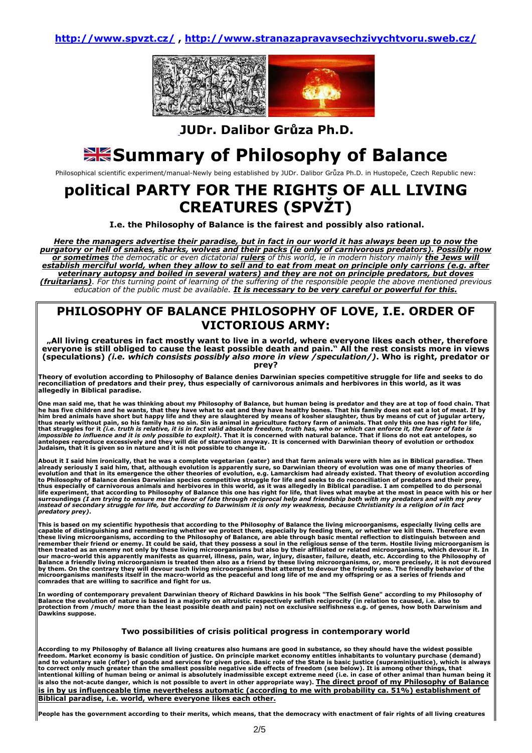http://www.spvzt.cz/ , http://www.stranazapravavsechzivychtvoru.sweb.cz/



JUDr. Dalibor Grůza Ph.D.

# Stammary of Philosophy of Balance

Philosophical scientific experiment/manual-Newly being established by JUDr. Dalibor Grůza Ph.D. in Hustopeče, Czech Republic new:

## political PARTY FOR THE RIGHTS OF ALL LIVING CREATURES (SPVŽT)

I.e. the Philosophy of Balance is the fairest and possibly also rational.

Here the managers advertise their paradise, but in fact in our world it has always been up to now the purgatory or hell of snakes, sharks, wolves and their packs (ie only of carnivorous predators). Possibly now or sometimes the democratic or even dictatorial rulers of this world, ie in modern history mainly the Jews will establish merciful world, when they allow to sell and to eat from meat on principle only carrions (e.g. after veterinary autopsy and boiled in several waters) and they are not on principle predators, but doves (fruitarians). For this turning point of learning of the suffering of the responsible people the above mentioned previous education of the public must be available. It is necessary to be very careful or powerful for this.

## PHILOSOPHY OF BALANCE PHILOSOPHY OF LOVE, I.E. ORDER OF VICTORIOUS ARMY:

 "All living creatures in fact mostly want to live in a world, where everyone likes each other, therefore everyone is still obliged to cause the least possible death and pain." All the rest consists more in views (speculations) (i.e. which consists possibly also more in view /speculation/). Who is right, predator or prey?

Theory of evolution according to Philosophy of Balance denies Darwinian species competitive struggle for life and seeks to do<br>reconciliation of predators and their prey, thus especially of carnivorous animals and herbivore allegedly in Biblical paradise.

One man said me, that he was thinking about my Philosophy of Balance, but human being is predator and they are at top of food chain. That<br>he has five children and he wants, that they have what to eat and they have healthy Judaism, that it is given so in nature and it is not possible to change it.

About it I said him ironically, that he was a complete vegetarian (eater) and that farm animals were with him as in Biblical paradise. Then already seriously I said him, that, although evolution is apparently sure, so Darwinian theory of evolution was one of many theories of<br>evolution and that in its emergence the other theories of evolution, e.g. Lamarckism h thus especially of carnivorous animals and herbivores in this world, as it was allegedly in Biblical paradise. I am compelled to do personal<br>life experiment, that according to Philosophy of Balance this one has right for l predatory prey).

This is based on my scientific hypothesis that according to the Philosophy of Balance the living microorganisms, especially living cells are<br>capable of distinguishing and remembering whether we protect them, especially by remember their friend or enemy. It could be said, that they possess a soul in the religious sense of the term. Hostile living microorganism is<br>then treated as an enemy not only by these living microorganisms but also by th our macro-world this apparently manifests as quarrel, illness, pain, war, injury, disaster, failure, death, etc. According to the Philosophy of<br>Balance a friendly living microorganism is treated then also as a friend by th

In wording of contemporary prevalent Darwinian theory of Richard Dawkins in his book "The Selfish Gene" according to my Philosophy of<br>Balance the evolution of nature is based in a majority on altruistic respectively selfis

#### Two possibilities of crisis political progress in contemporary world

According to my Philosophy of Balance all living creatures also humans are good in substance, so they should have the widest possible<br>freedom. Market economy is basic condition of justice. On principle market economy entit is also the not-acute danger, which is not possible to avert in other appropriate way). The direct proof of my Philosophy of Balance is in by us influenceable time nevertheless automatic (according to me with probability ca. 51%) establishment of Biblical paradise, i.e. world, where everyone likes each other.

People has the government according to their merits, which means, that the democracy with enactment of fair rights of all living creatures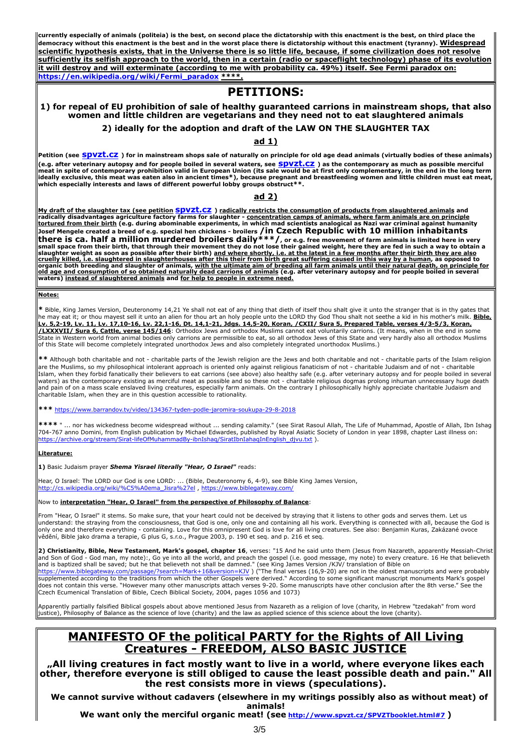currently especially of animals (politeia) is the best, on second place the dictatorship with this enactment is the best, on third place the democracy without this enactment is the best and in the worst place there is dictatorship without this enactment (tyranny). Widespread scientific hypothesis exists, that in the Universe there is so little life, because, if some civilization does not resolve sufficiently its selfish approach to the world, then in a certain (radio or spaceflight technology) phase of its evolution it will destroy and will exterminate (according to me with probability ca. 49%) itself. See Fermi paradox on: https://en.wikipedia.org/wiki/Fermi\_paradox \*\*\*\*.

## PETITIONS:

### 1) for repeal of EU prohibition of sale of healthy guaranteed carrions in mainstream shops, that also women and little children are vegetarians and they need not to eat slaughtered animals

#### 2) ideally for the adoption and draft of the LAW ON THE SLAUGHTER TAX

#### ad 1)

Petition (see SDVZt.CZ) for in mainstream shops sale of naturally on principle for old age dead animals (virtually bodies of these animals) (e.g. after veterinary autopsy and for people boiled in several waters, see <mark>SDVZt.CZ</mark> ) as the contemporary as much as possible merciful and the indied in the long term and the long term<br>meat in spite of contemporary proh ideally exclusive, this meat was eaten also in ancient times\*), because pregnant and breastfeeding women and little children must eat meat,  $\parallel$ 

#### ad 2)

<u>My draft of the slaughter tax (see petition <mark>SDVZt.CZ</mark> ) radically restricts the consumption of products from slaughtered animals</u> and<br>radically disadvantages agriculture factory farms for slaughter - <u>concentration camps</u> <u>tortured from their birth</u> (e.g. during abominable experiments, in which mad scientists analogical as Nazi war criminal against humanity<br>Josef Mengele created a breed of e.g. special hen chickens - broilers /i**n Czech Rep** there is ca. half a million murdered broilers daily\*\*\*/, or e.g. free movement of farm animals is limited here in very<br>small space from their birth, that through their movement they do not lose their gained weight, here th

#### Notes:

\* Bible, King James Version, Deuteronomy 14,21 Ye shall not eat of any thing that dieth of itself thou shalt give it unto the stranger that is in thy gates that letchald the stander that is in thy gates that letchald the m <u>/LXXXVII/ Sura 6, Cattle, verse 145/146</u>: Orthodox Jews and orthodox Muslims cannot eat voluntarily carrions. (It means, when in the end in some<br>State in Western world from animal bodies only carrions are permissible to e of this State will become completely integrated unorthodox Jews and also completely integrated unorthodox Muslims.)

\*\* Although both charitable and not - charitable parts of the Jewish religion are the Jews and both charitable and not - charitable parts of the Islam religion are the Muslims, so my philosophical intolerant approach is oriented only against religious fanaticism of not - charitable Judaism and of not - charitable Islam, when they forbid fanatically their believers to eat carrions (see above) also healthy safe (e.g. after veterinary autopsy and for people boiled in several waters) as the contemporary existing as merciful meat as possible and so these not - charitable religious dogmas prolong inhuman unnecessary huge death<br>and pain of on a mass scale enslaved living creatures, especially farm

\*\*\* https://www.barrandov.tv/video/134367-tyden-podle-jaromira-soukupa-29-8-2018

\*\*\*\* " … nor has wickedness become widespread without … sending calamity." (see Sirat Rasoul Allah, The Life of Muhammad, Apostle of Allah, Ibn Ishag |<br>704-767 anno Domini, from English publication by Michael Edwardes, pub https://archive.org/stream/Sirat-lifeOfMuhammadBy-ibnIshaq/SiratIbnIahaqInEnglish\_djvu.txt ).

#### Literature:

1) Basic Judaism prayer Shema Yisrael literally "Hear, O Israel" reads:

Hear, O Israel: The LORD our God is one LORD: ... (Bible, Deuteronomy 6, 4-9), see Bible King James Version, http://cs.wikipedia.org/wiki/%C5%A0ema\_Jisra%27el , https://www.biblegateway.com/

#### Now to **interpretation "Hear, O Israel" from the perspective of Philosophy of Balance**:

From "Hear, O Israel" it stems. So make sure, that your heart could not be deceived by straying that it listens to other gods and serves them. Let us<br>understand: the straying from the consciousness, that God is one, only o only one and therefore everything - containing. Love for this omnipresent God is love for all living creatures. See also: Benjamin Kuras, Zakázané ovoce vědění, Bible jako drama a terapie, G plus G, s.r.o., Prague 2003, p. 190 et seq. and p. 216 et seq.

2) Christianity, Bible, New Testament, Mark's gospel, chapter 16, verses: "15 And he said unto them (Jesus from Nazareth, apparently Messiah-Christ ||<br>and Son of God - God man, my note):, Go ye into all the world, and prea <u>https://www.biblegateway.com/passage/?search=Mark+16&version=KJV</u> ) ("The final verses (16,9-20) are not in the oldest manuscripts and were probably<br>supplemented according to the traditions from which the other Gospels we does not contain this verse. "However many other manuscripts attach verses 9-20. Some manuscripts have other conclusion after the 8th verse." See the Czech Ecumenical Translation of Bible, Czech Biblical Society, 2004, pages 1056 and 1073)

Apparently partially falsified Biblical gospels about above mentioned Jesus from Nazareth as a religion of love (charity, in Hebrew "tzedakah" from word<br>justice), Philosophy of Balance as the science of love (charity) and

## MANIFESTO OF the political PARTY for the Rights of All Living Creatures - FREEDOM, ALSO BASIC JUSTICE

"All living creatures in fact mostly want to live in a world, where everyone likes each other, therefore everyone is still obliged to cause the least possible death and pain." All the rest consists more in views (speculations).

We cannot survive without cadavers (elsewhere in my writings possibly also as without meat) of animals!

We want only the merciful organic meat! (see http://www.spvzt.cz/SPVZTbooklet.html#7)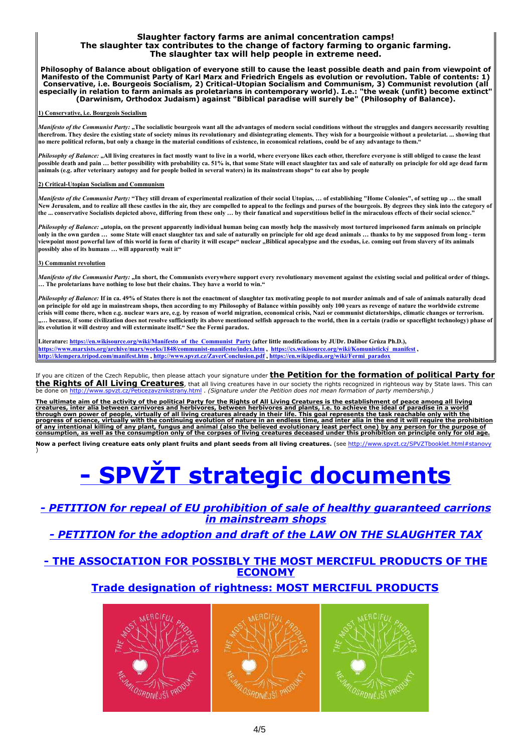#### Slaughter factory farms are animal concentration camps! The slaughter tax contributes to the change of factory farming to organic farming. The slaughter tax will help people in extreme need.

Philosophy of Balance about obligation of everyone still to cause the least possible death and pain from viewpoint of Manifesto of the Communist Party of Karl Marx and Friedrich Engels as evolution or revolution. Table of contents: 1) Conservative, i.e. Bourgeois Socialism, 2) Critical-Utopian Socialism and Communism, 3) Communist revolution (all especially in relation to farm animals as proletarians in contemporary world). I.e.: "the weak (unfit) become extinct" (Darwinism, Orthodox Judaism) against "Biblical paradise will surely be" (Philosophy of Balance).

#### 1) Conservative, i.e. Bourgeois Socialism

Manifesto of the Communist Party: "The socialistic bourgeois want all the advantages of modern social conditions without the struggles and dangers necessarily resulting therefrom. They desire the existing state of society minus its revolutionary and disintegrating elements. They wish for a bourgeoisie without a proletariat. ... showing that no mere political reform, but only a change in the material conditions of existence, in economical relations, could be of any advantage to them."

Philosophy of Balance: "All living creatures in fact mostly want to live in a world, where everyone likes each other, therefore everyone is still obliged to cause the least possible death and pain … better possibility with probability ca. 51% is, that some State will enact slaughter tax and sale of naturally on principle for old age dead farm animals (e.g. after veterinary autopsy and for people boiled in several waters) in its mainstream shops" to eat also by people

#### 2) Critical-Utopian Socialism and Communism

Manifesto of the Communist Party: "They still dream of experimental realization of their social Utopias, ... of establishing "Home Colonies", of setting up ... the small New Jerusalem, and to realize all these castles in the air, they are compelled to appeal to the feelings and purses of the bourgeois. By degrees they sink into the category of the ... conservative Socialists depicted above, differing from these only … by their fanatical and superstitious belief in the miraculous effects of their social science."

Philosophy of Balance: "utopia, on the present apparently individual human being can mostly help the massively most tortured imprisoned farm animals on principle only in the own garden … some State will enact slaughter tax and sale of naturally on principle for old age dead animals … thanks to by me supposed from long - term viewpoint most powerful law of this world in form of charity it will escape" nuclear "Biblical apocalypse and the exodus, i.e. coming out from slavery of its animals possibly also of its humans … will apparently wait it"

#### 3) Communist revolution

Manifesto of the Communist Party: "In short, the Communists everywhere support every revolutionary movement against the existing social and political order of things. … The proletarians have nothing to lose but their chains. They have a world to win."

Philosophy of Balance: If in ca. 49% of States there is not the enactment of slaughter tax motivating people to not murder animals and of sale of animals naturally dead on principle for old age in mainstream shops, then according to my Philosophy of Balance within possibly only 100 years as revenge of nature the worldwide extreme crisis will come there, when e.g. nuclear wars are, e.g. by reason of world migration, economical crisis, Nazi or communist dictatorships, climatic changes or terrorism. .... because, if some civilization does not resolve sufficiently its above mentioned selfish approach to the world, then in a certain (radio or spaceflight technology) phase of its evolution it will destroy and will exterminate itself." See the Fermi paradox.

Literature: https://en.wikisource.org/wiki/Manifesto\_of\_the\_Communist\_Party (after little modifications by JUDr. Dalibor Grůza Ph.D.), https://www.marxists.org/archive/marx/works/1848/communist-manifesto/index.htm , https://cs.wikisource.org/wiki/Komunistický\_manifest , http://klempera.tripod.com/manifest.htm , http://www.spvzt.cz/ZaverConclusion.pdf , https://en.wikipedia.org/wiki/Fermi\_paradox

If you are citizen of the Czech Republic, then please attach your signature under the Petition for the formation of political Party for the Rights of All Living Creatures, that all living creatures have in our society the rights recognized in righteous way by State laws. This can<br>be done on http://www.spyzt.cz/Peticezayznikstrany.html . (Signature under th rany.html . (Signature under the Petition does not mean formation of party membership.)

The ultimate aim of the activity of the political Party for the Rights of All Living Creatures is the establishment of peace among all living creatures, inter alia between carnivores and herbivores, between herbivores and plants, i.e. to achieve the ideal of paradise in a world<br>through own power of people, virtually of all living creatures already in their life. progress of science, virtually with the continuing evolution of nature in an endless time, and inter alia in the end it will require the prohibition<br>of any intentional killing of any plant, fungus and animal (also the beli

Now a perfect living creature eats only plant fruits and plant seeds from all living creatures. (see http://www.spvzt.cz/SPVZTbooklet.html#stanovy )

# [- SPVŽT strategic documents](http://www.spvzt.cz/translations.htm)

## [- PETITION for repeal of EU prohibition of sale of healthy guaranteed carrions](http://www.spvzt.cz/Petitionshops.html) in mainstream shops

## [- PETITION for the adoption and draft of the LAW ON THE SLAUGHTER TAX](http://www.spvzt.cz/Petitionslaughtertax.html)

## [- THE ASSOCIATION FOR POSSIBLY THE MOST MERCIFUL PRODUCTS OF THE](http://www.spvzt.cz/Mostmercifulproducts.html) ECONOMY

## Trade designation of rightness: MOST MERCIFUL PRODUCTS